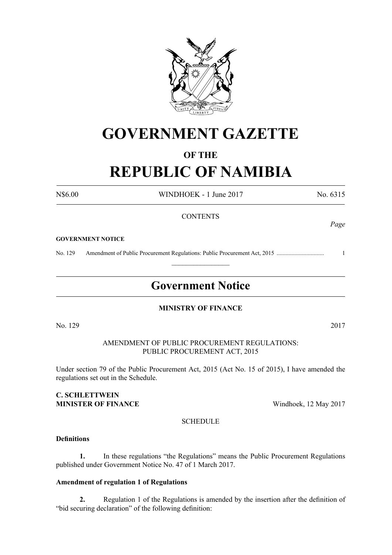

# **GOVERNMENT GAZETTE**

## **OF THE REPUBLIC OF NAMIBIA**

N\$6.00 WINDHOEK - 1 June 2017 No. 6315

## **CONTENTS**

#### **GOVERNMENT NOTICE**

No. 129 Amendment of Public Procurement Regulations: Public Procurement Act, 2015 ................................ 1

## **Government Notice**

 $\frac{1}{2}$ 

## **MINISTRY OF FINANCE**

AMENDMENT OF PUBLIC PROCUREMENT REGULATIONS: PUBLIC PROCUREMENT ACT, 2015

Under section 79 of the Public Procurement Act, 2015 (Act No. 15 of 2015), I have amended the regulations set out in the Schedule.

### **C. Schlettwein MINISTER OF FINANCE** Windhoek, 12 May 2017

**SCHEDULE** 

## **Definitions**

**1.** In these regulations "the Regulations" means the Public Procurement Regulations published under Government Notice No. 47 of 1 March 2017.

## **Amendment of regulation 1 of Regulations**

**2.** Regulation 1 of the Regulations is amended by the insertion after the definition of "bid securing declaration" of the following definition:

No. 129 2017

*Page*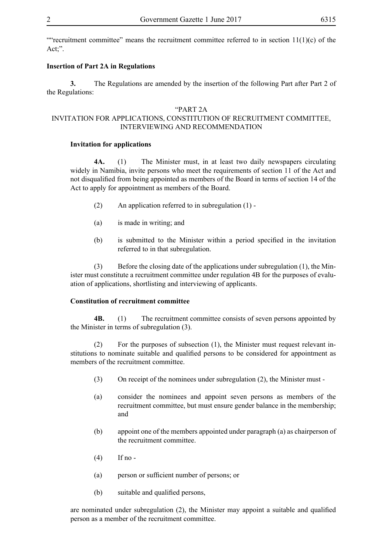""recruitment committee" means the recruitment committee referred to in section  $11(1)(c)$  of the Act;".

#### **Insertion of Part 2A in Regulations**

**3.** The Regulations are amended by the insertion of the following Part after Part 2 of the Regulations:

#### "PART 2A

## INVITATION FOR APPLICATIONS, CONSTITUTION OF RECRUITMENT COMMITTEE, INTERVIEWING AND RECOMMENDATION

#### **Invitation for applications**

**4A.** (1) The Minister must, in at least two daily newspapers circulating widely in Namibia, invite persons who meet the requirements of section 11 of the Act and not disqualified from being appointed as members of the Board in terms of section 14 of the Act to apply for appointment as members of the Board.

- (2) An application referred to in subregulation (1) -
- (a) is made in writing; and
- (b) is submitted to the Minister within a period specified in the invitation referred to in that subregulation.

(3) Before the closing date of the applications under subregulation (1), the Minister must constitute a recruitment committee under regulation 4B for the purposes of evaluation of applications, shortlisting and interviewing of applicants.

#### **Constitution of recruitment committee**

**4B.** (1) The recruitment committee consists of seven persons appointed by the Minister in terms of subregulation (3).

(2) For the purposes of subsection (1), the Minister must request relevant institutions to nominate suitable and qualified persons to be considered for appointment as members of the recruitment committee.

- (3) On receipt of the nominees under subregulation (2), the Minister must -
- (a) consider the nominees and appoint seven persons as members of the recruitment committee, but must ensure gender balance in the membership; and
- (b) appoint one of the members appointed under paragraph (a) as chairperson of the recruitment committee.
- $(4)$  If no -
- (a) person or sufficient number of persons; or
- (b) suitable and qualified persons,

are nominated under subregulation (2), the Minister may appoint a suitable and qualified person as a member of the recruitment committee.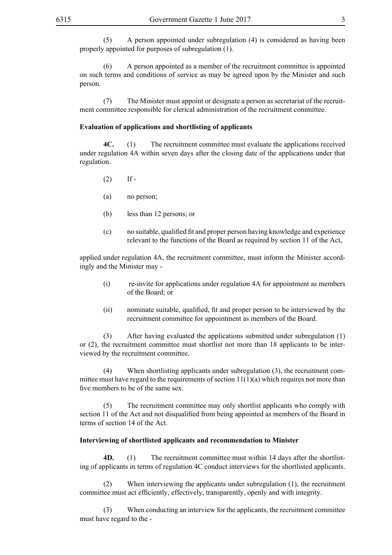(5) A person appointed under subregulation (4) is considered as having been properly appointed for purposes of subregulation (1).

(6) A person appointed as a member of the recruitment committee is appointed on such terms and conditions of service as may be agreed upon by the Minister and such person.

(7) The Minister must appoint or designate a person as secretariat of the recruitment committee responsible for clerical administration of the recruitment committee.

#### **Evaluation of applications and shortlisting of applicants**

**4C.** (1) The recruitment committee must evaluate the applications received under regulation 4A within seven days after the closing date of the applications under that regulation.

- $(2)$  If -
- (a) no person;
- (b) less than 12 persons; or
- (c) no suitable, qualified fit and proper person having knowledge and experience relevant to the functions of the Board as required by section 11 of the Act,

applied under regulation 4A, the recruitment committee, must inform the Minister accordingly and the Minister may -

- (i) re-invite for applications under regulation 4A for appointment as members of the Board; or
- (ii) nominate suitable, qualified, fit and proper person to be interviewed by the recruitment committee for appointment as members of the Board.

(3) After having evaluated the applications submitted under subregulation (1) or (2), the recruitment committee must shortlist not more than 18 applicants to be interviewed by the recruitment committee.

(4) When shortlisting applicants under subregulation (3), the recruitment committee must have regard to the requirements of section  $11(1)(a)$  which requires not more than five members to be of the same sex.

(5) The recruitment committee may only shortlist applicants who comply with section 11 of the Act and not disqualified from being appointed as members of the Board in terms of section 14 of the Act.

#### **Interviewing of shortlisted applicants and recommendation to Minister**

**4D.** (1) The recruitment committee must within 14 days after the shortlisting of applicants in terms of regulation 4C conduct interviews for the shortlisted applicants.

(2) When interviewing the applicants under subregulation (1), the recruitment committee must act efficiently, effectively, transparently, openly and with integrity.

(3) When conducting an interview for the applicants, the recruitment committee must have regard to the -